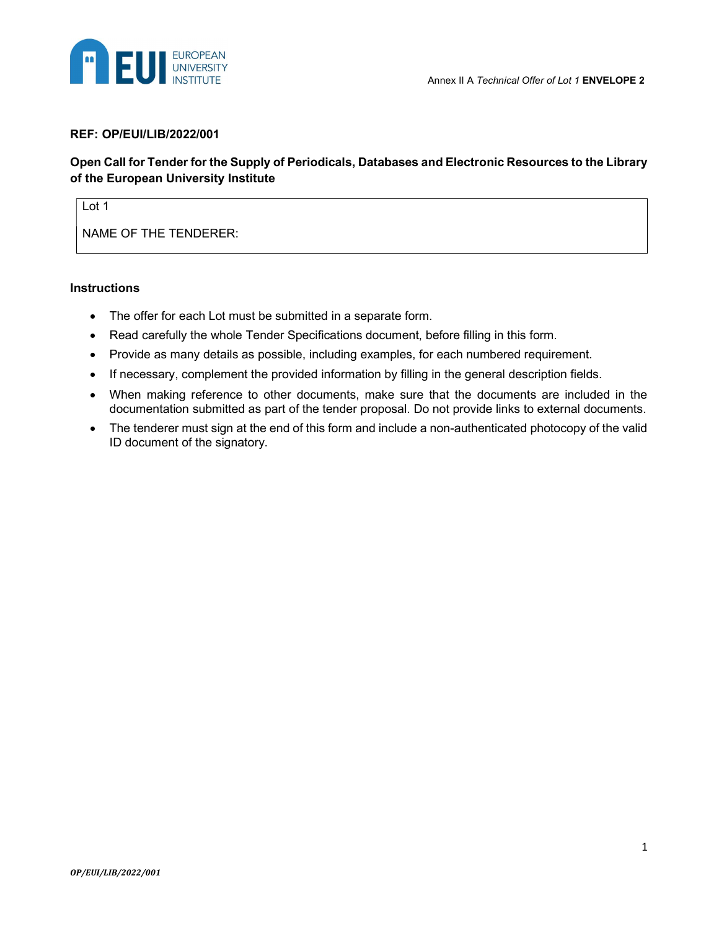

#### REF: OP/EUI/LIB/2022/001

### Open Call for Tender for the Supply of Periodicals, Databases and Electronic Resources to the Library of the European University Institute

Lot 1

NAME OF THE TENDERER:

#### **Instructions**

- The offer for each Lot must be submitted in a separate form.
- Read carefully the whole Tender Specifications document, before filling in this form.
- Provide as many details as possible, including examples, for each numbered requirement.
- If necessary, complement the provided information by filling in the general description fields.
- When making reference to other documents, make sure that the documents are included in the documentation submitted as part of the tender proposal. Do not provide links to external documents.
- The tenderer must sign at the end of this form and include a non-authenticated photocopy of the valid ID document of the signatory.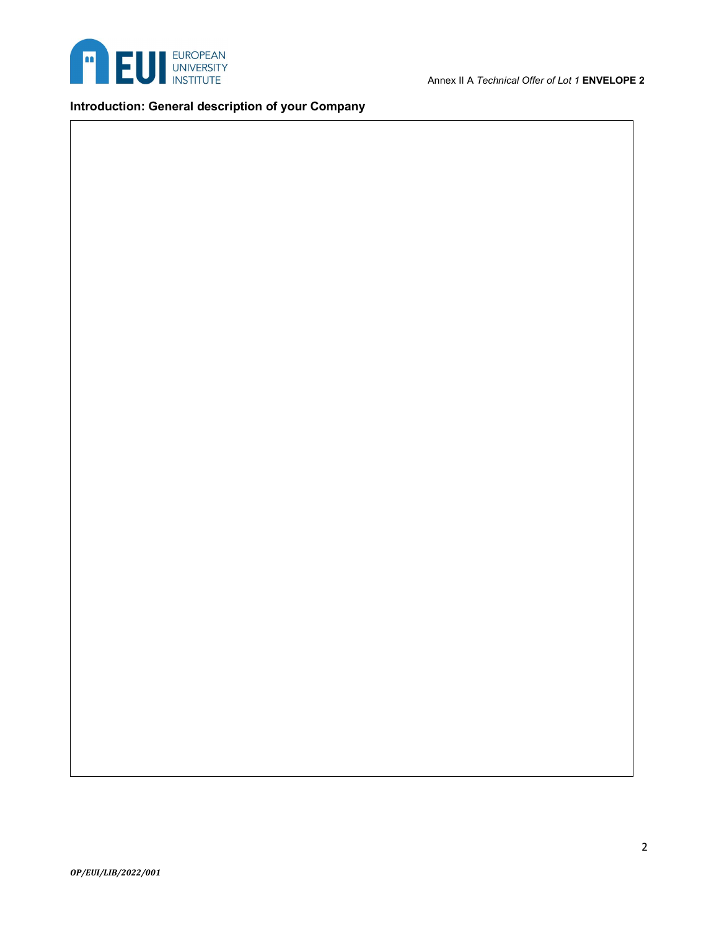

Introduction: General description of your Company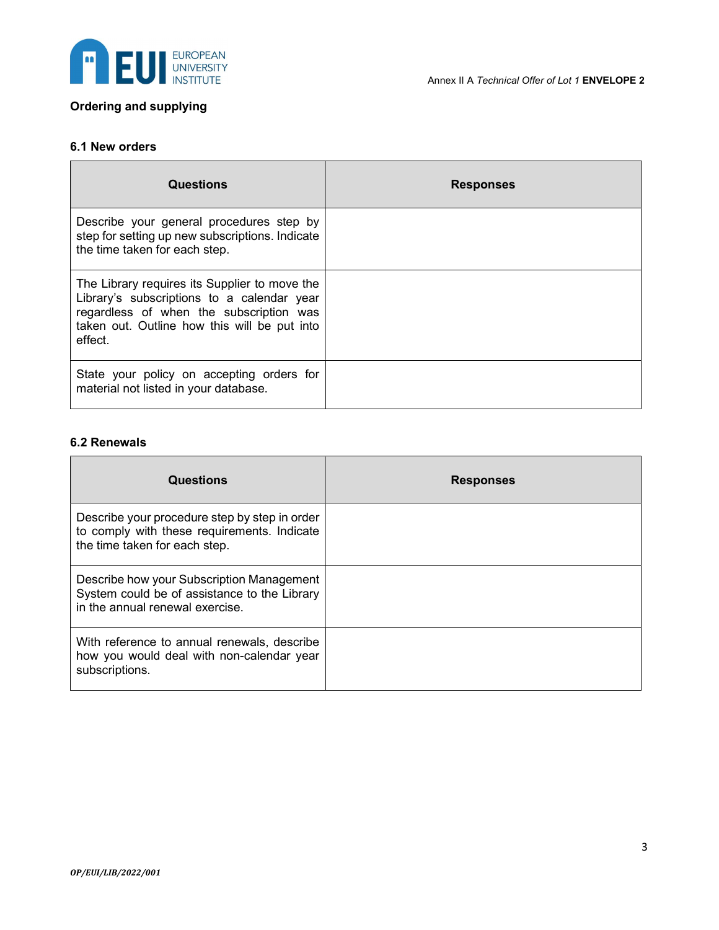

## Ordering and supplying

#### 6.1 New orders

| Questions                                                                                                                                                                                         | <b>Responses</b> |
|---------------------------------------------------------------------------------------------------------------------------------------------------------------------------------------------------|------------------|
| Describe your general procedures step by<br>step for setting up new subscriptions. Indicate<br>the time taken for each step.                                                                      |                  |
| The Library requires its Supplier to move the<br>Library's subscriptions to a calendar year<br>regardless of when the subscription was<br>taken out. Outline how this will be put into<br>effect. |                  |
| State your policy on accepting orders for<br>material not listed in your database.                                                                                                                |                  |

#### 6.2 Renewals

| <b>Questions</b>                                                                                                              | <b>Responses</b> |
|-------------------------------------------------------------------------------------------------------------------------------|------------------|
| Describe your procedure step by step in order<br>to comply with these requirements. Indicate<br>the time taken for each step. |                  |
| Describe how your Subscription Management<br>System could be of assistance to the Library<br>in the annual renewal exercise.  |                  |
| With reference to annual renewals, describe<br>how you would deal with non-calendar year<br>subscriptions.                    |                  |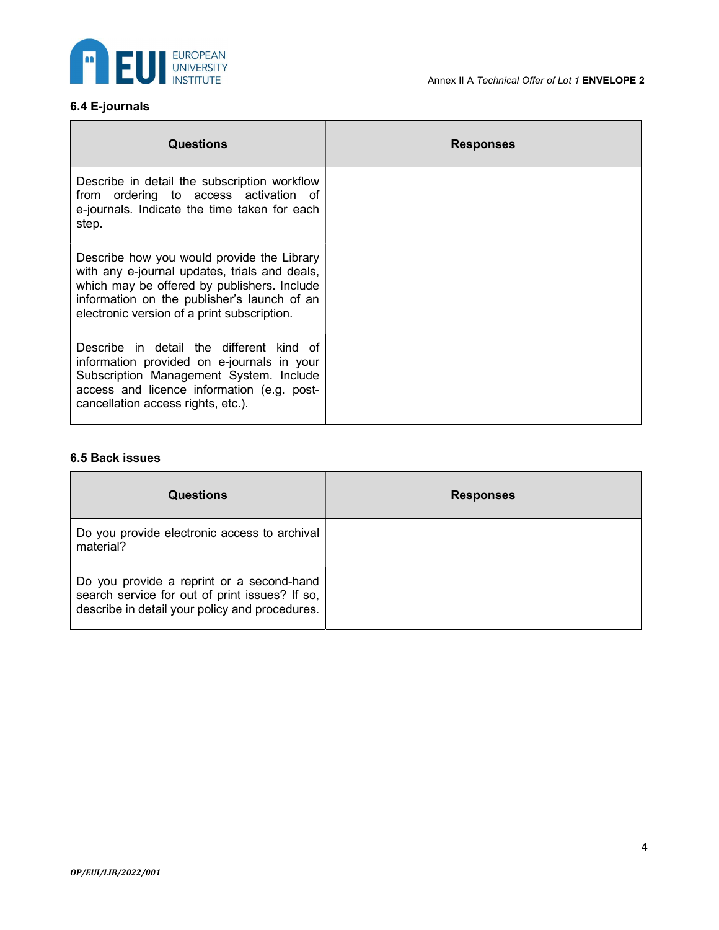

# 6.4 E-journals

| <b>Questions</b>                                                                                                                                                                                                                         | <b>Responses</b> |
|------------------------------------------------------------------------------------------------------------------------------------------------------------------------------------------------------------------------------------------|------------------|
| Describe in detail the subscription workflow<br>from ordering to access activation of<br>e-journals. Indicate the time taken for each<br>step.                                                                                           |                  |
| Describe how you would provide the Library<br>with any e-journal updates, trials and deals,<br>which may be offered by publishers. Include<br>information on the publisher's launch of an<br>electronic version of a print subscription. |                  |
| Describe in detail the different kind of<br>information provided on e-journals in your<br>Subscription Management System. Include<br>access and licence information (e.g. post-<br>cancellation access rights, etc.).                    |                  |

### 6.5 Back issues

| <b>Questions</b>                                                                                                                              | <b>Responses</b> |
|-----------------------------------------------------------------------------------------------------------------------------------------------|------------------|
| Do you provide electronic access to archival<br>material?                                                                                     |                  |
| Do you provide a reprint or a second-hand<br>search service for out of print issues? If so,<br>describe in detail your policy and procedures. |                  |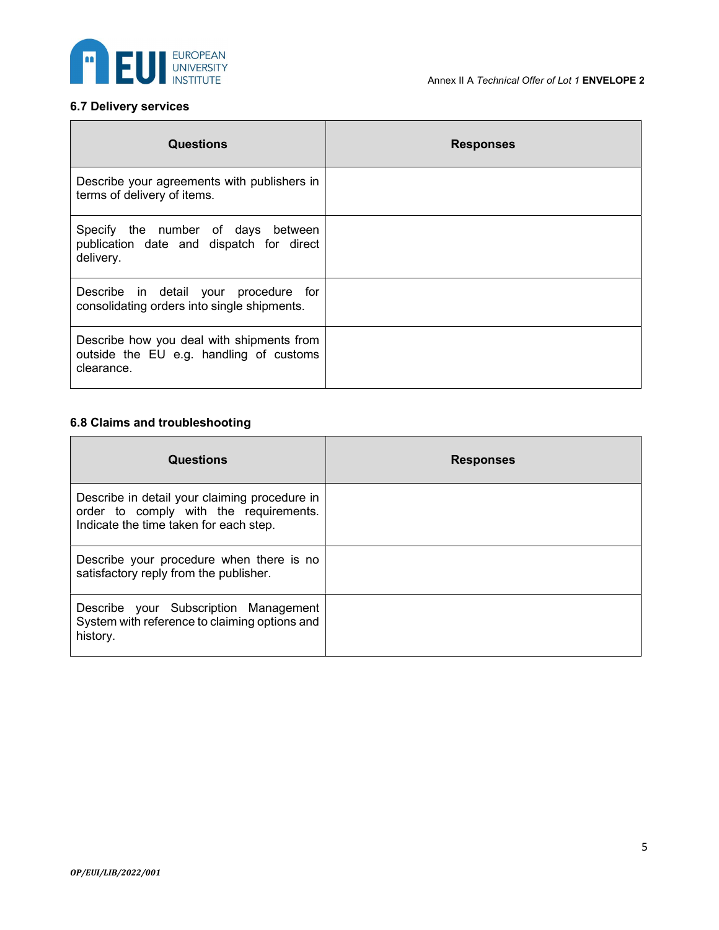

# 6.7 Delivery services

| <b>Questions</b>                                                                                   | <b>Responses</b> |
|----------------------------------------------------------------------------------------------------|------------------|
| Describe your agreements with publishers in<br>terms of delivery of items.                         |                  |
| Specify the number of days between<br>publication date and dispatch for direct<br>delivery.        |                  |
| Describe in detail your procedure for<br>consolidating orders into single shipments.               |                  |
| Describe how you deal with shipments from<br>outside the EU e.g. handling of customs<br>clearance. |                  |

### 6.8 Claims and troubleshooting

| <b>Questions</b>                                                                                                                  | <b>Responses</b> |
|-----------------------------------------------------------------------------------------------------------------------------------|------------------|
| Describe in detail your claiming procedure in<br>order to comply with the requirements.<br>Indicate the time taken for each step. |                  |
| Describe your procedure when there is no<br>satisfactory reply from the publisher.                                                |                  |
| Describe your Subscription Management<br>System with reference to claiming options and<br>history.                                |                  |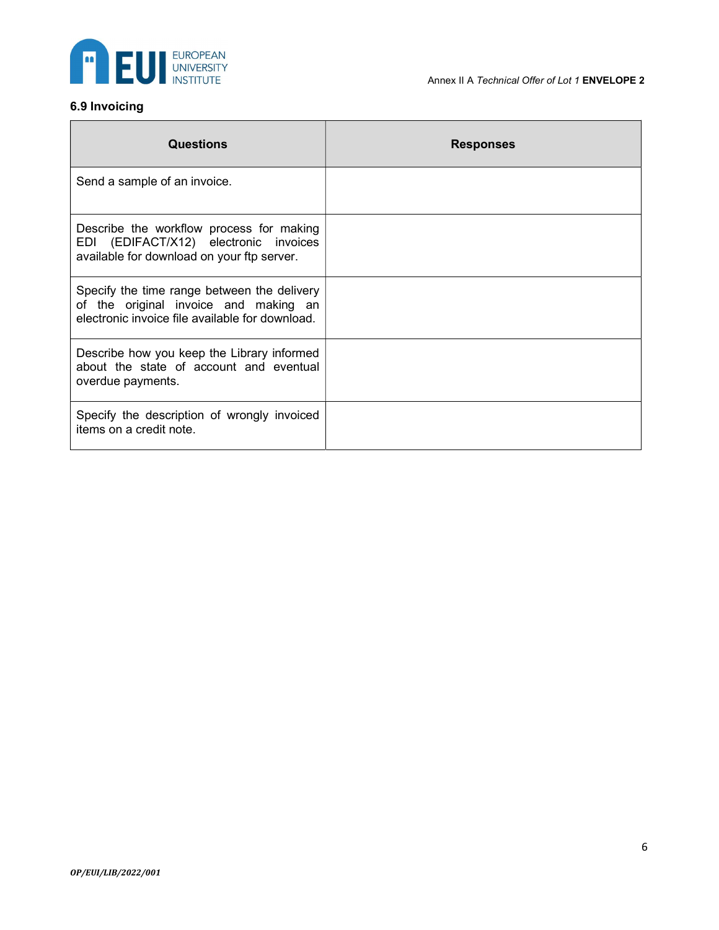

## 6.9 Invoicing

| <b>Questions</b>                                                                                                                        | <b>Responses</b> |
|-----------------------------------------------------------------------------------------------------------------------------------------|------------------|
| Send a sample of an invoice.                                                                                                            |                  |
| Describe the workflow process for making<br>EDI (EDIFACT/X12) electronic invoices<br>available for download on your ftp server.         |                  |
| Specify the time range between the delivery<br>of the original invoice and making an<br>electronic invoice file available for download. |                  |
| Describe how you keep the Library informed<br>about the state of account and eventual<br>overdue payments.                              |                  |
| Specify the description of wrongly invoiced<br>items on a credit note.                                                                  |                  |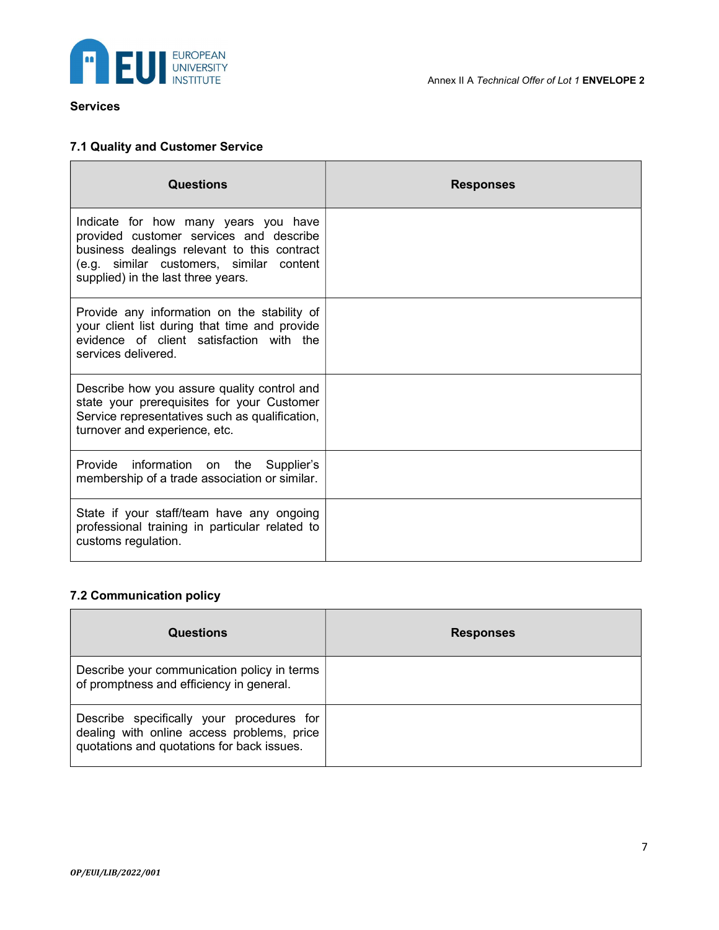

### Services

### 7.1 Quality and Customer Service

| <b>Questions</b>                                                                                                                                                                                                 | <b>Responses</b> |
|------------------------------------------------------------------------------------------------------------------------------------------------------------------------------------------------------------------|------------------|
| Indicate for how many years you have<br>provided customer services and describe<br>business dealings relevant to this contract<br>(e.g. similar customers, similar content<br>supplied) in the last three years. |                  |
| Provide any information on the stability of<br>your client list during that time and provide<br>evidence of client satisfaction with the<br>services delivered.                                                  |                  |
| Describe how you assure quality control and<br>state your prerequisites for your Customer<br>Service representatives such as qualification,<br>turnover and experience, etc.                                     |                  |
| Provide information on the Supplier's<br>membership of a trade association or similar.                                                                                                                           |                  |
| State if your staff/team have any ongoing<br>professional training in particular related to<br>customs regulation.                                                                                               |                  |

## 7.2 Communication policy

| <b>Questions</b>                                                                                                                      | <b>Responses</b> |
|---------------------------------------------------------------------------------------------------------------------------------------|------------------|
| Describe your communication policy in terms<br>of promptness and efficiency in general.                                               |                  |
| Describe specifically your procedures for<br>dealing with online access problems, price<br>quotations and quotations for back issues. |                  |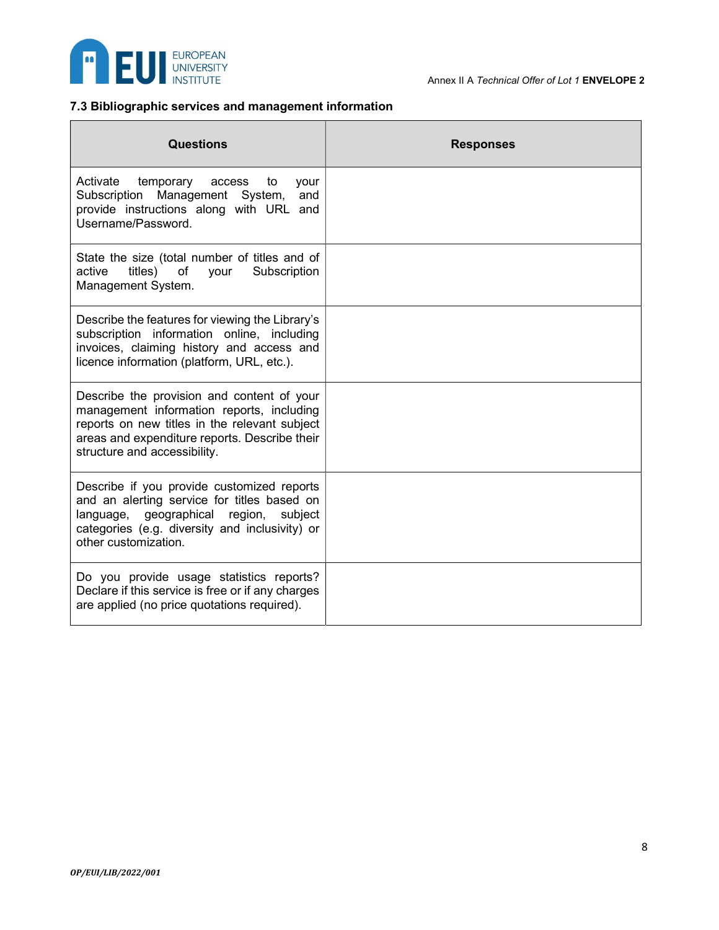

### 7.3 Bibliographic services and management information

| Questions                                                                                                                                                                                                                 | <b>Responses</b> |
|---------------------------------------------------------------------------------------------------------------------------------------------------------------------------------------------------------------------------|------------------|
| Activate temporary<br>access to<br>your<br>Subscription Management System,<br>and<br>provide instructions along with URL and<br>Username/Password.                                                                        |                  |
| State the size (total number of titles and of<br>active<br>titles)<br>of<br>Subscription<br>your<br>Management System.                                                                                                    |                  |
| Describe the features for viewing the Library's<br>subscription information online, including<br>invoices, claiming history and access and<br>licence information (platform, URL, etc.).                                  |                  |
| Describe the provision and content of your<br>management information reports, including<br>reports on new titles in the relevant subject<br>areas and expenditure reports. Describe their<br>structure and accessibility. |                  |
| Describe if you provide customized reports<br>and an alerting service for titles based on<br>language, geographical region,<br>subject<br>categories (e.g. diversity and inclusivity) or<br>other customization.          |                  |
| Do you provide usage statistics reports?<br>Declare if this service is free or if any charges<br>are applied (no price quotations required).                                                                              |                  |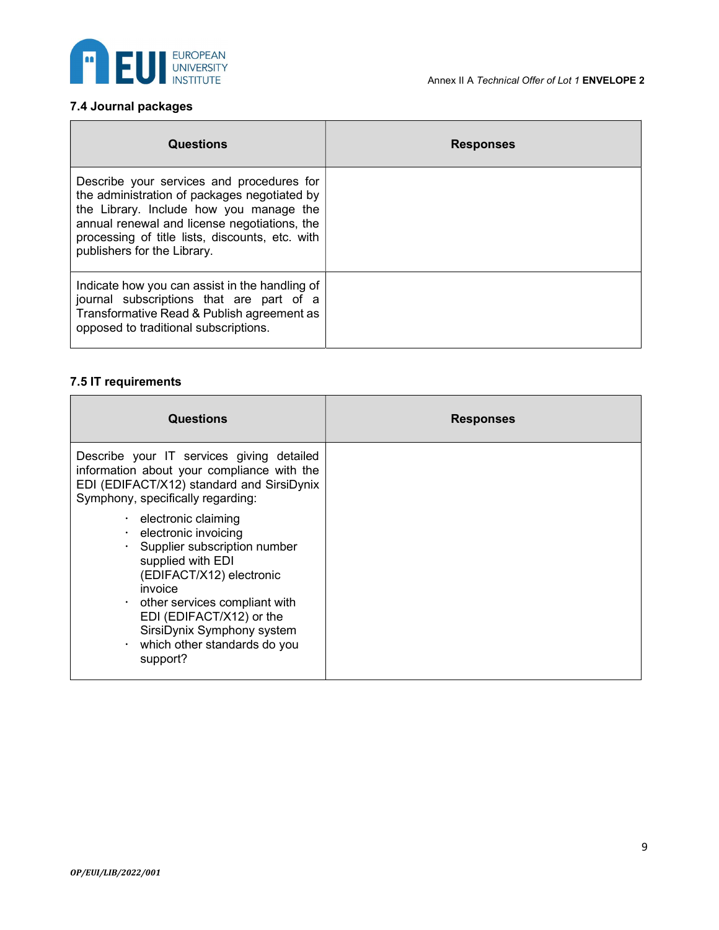

# 7.4 Journal packages

| <b>Questions</b>                                                                                                                                                                                                                                                       | <b>Responses</b> |
|------------------------------------------------------------------------------------------------------------------------------------------------------------------------------------------------------------------------------------------------------------------------|------------------|
| Describe your services and procedures for<br>the administration of packages negotiated by<br>the Library. Include how you manage the<br>annual renewal and license negotiations, the<br>processing of title lists, discounts, etc. with<br>publishers for the Library. |                  |
| Indicate how you can assist in the handling of<br>journal subscriptions that are part of a<br>Transformative Read & Publish agreement as<br>opposed to traditional subscriptions.                                                                                      |                  |

### 7.5 IT requirements

| <b>Questions</b>                                                                                                                                                                                                                                                                                                                 | <b>Responses</b> |
|----------------------------------------------------------------------------------------------------------------------------------------------------------------------------------------------------------------------------------------------------------------------------------------------------------------------------------|------------------|
| Describe your IT services giving detailed<br>information about your compliance with the<br>EDI (EDIFACT/X12) standard and SirsiDynix<br>Symphony, specifically regarding:                                                                                                                                                        |                  |
| $\cdot$ electronic claiming<br>electronic invoicing<br>$\bullet$<br>Supplier subscription number<br>$\bullet$<br>supplied with EDI<br>(EDIFACT/X12) electronic<br>invoice<br>$\cdot$ other services compliant with<br>EDI (EDIFACT/X12) or the<br>SirsiDynix Symphony system<br>$\cdot$ which other standards do you<br>support? |                  |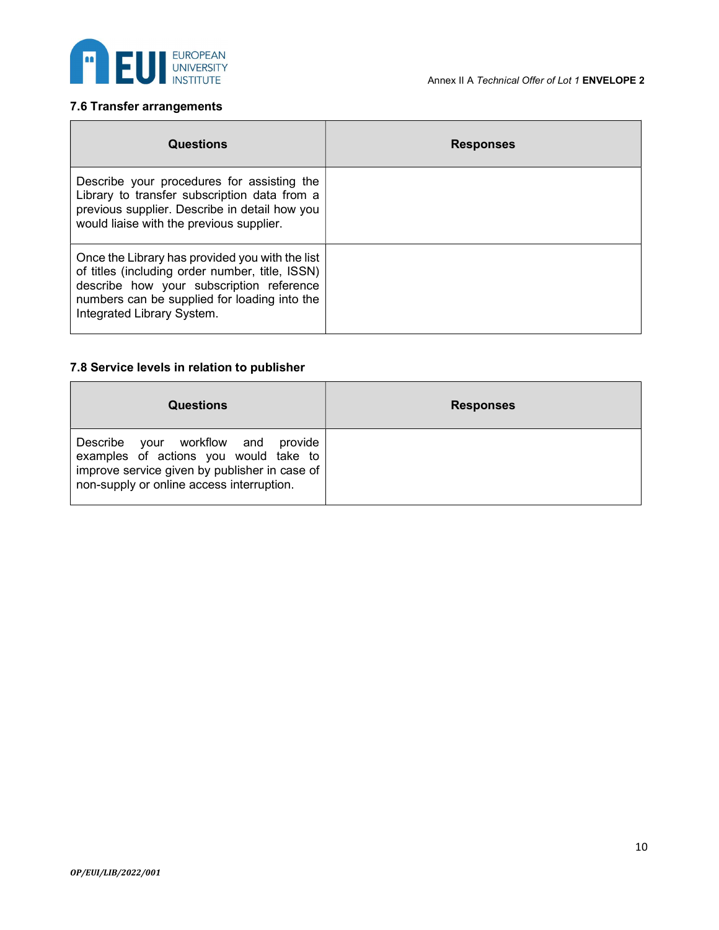

# 7.6 Transfer arrangements

| <b>Questions</b>                                                                                                                                                                                                             | <b>Responses</b> |
|------------------------------------------------------------------------------------------------------------------------------------------------------------------------------------------------------------------------------|------------------|
| Describe your procedures for assisting the<br>Library to transfer subscription data from a<br>previous supplier. Describe in detail how you<br>would liaise with the previous supplier.                                      |                  |
| Once the Library has provided you with the list<br>of titles (including order number, title, ISSN)<br>describe how your subscription reference<br>numbers can be supplied for loading into the<br>Integrated Library System. |                  |

### 7.8 Service levels in relation to publisher

| <b>Questions</b>                                                                                                                                                             | <b>Responses</b> |
|------------------------------------------------------------------------------------------------------------------------------------------------------------------------------|------------------|
| Describe your workflow and<br>provide<br>examples of actions you would take to<br>improve service given by publisher in case of<br>non-supply or online access interruption. |                  |